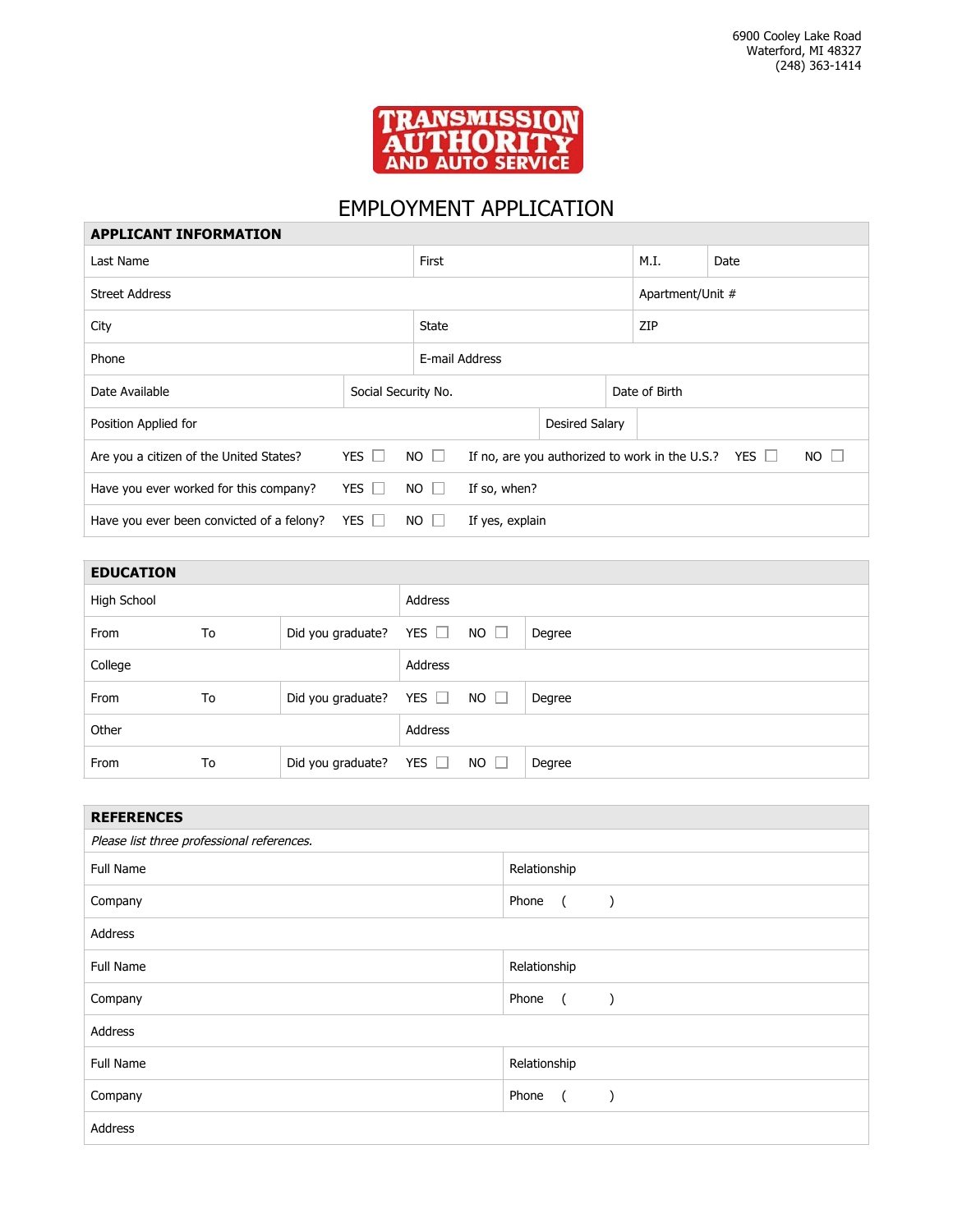

## EMPLOYMENT APPLICATION

| <b>APPLICANT INFORMATION</b>              |              |                     |                 |                |  |                                                |            |             |
|-------------------------------------------|--------------|---------------------|-----------------|----------------|--|------------------------------------------------|------------|-------------|
| Last Name                                 |              |                     | First           |                |  | M.I.                                           | Date       |             |
| <b>Street Address</b>                     |              |                     |                 |                |  | Apartment/Unit #                               |            |             |
| City                                      |              |                     | <b>State</b>    |                |  | ZIP                                            |            |             |
| Phone                                     |              |                     | E-mail Address  |                |  |                                                |            |             |
| Date Available                            |              | Social Security No. |                 | Date of Birth  |  |                                                |            |             |
| Position Applied for                      |              |                     |                 | Desired Salary |  |                                                |            |             |
| Are you a citizen of the United States?   | YES $\Box$   | $NO$ $\Box$         |                 |                |  | If no, are you authorized to work in the U.S.? | YES $\Box$ | $NO$ $\Box$ |
| Have you ever worked for this company?    | YES $\Box$   | $NO$ $\Box$         | If so, when?    |                |  |                                                |            |             |
| Have you ever been convicted of a felony? | $YES$ $\Box$ | $NO$ $\Box$         | If yes, explain |                |  |                                                |            |             |

| <b>EDUCATION</b> |    |                   |            |             |        |
|------------------|----|-------------------|------------|-------------|--------|
| High School      |    |                   | Address    |             |        |
| From             | To | Did you graduate? | YES $\Box$ | $NO \Box$   | Degree |
| College          |    |                   | Address    |             |        |
| From             | To | Did you graduate? | YES $\Box$ | $NO \Box$   | Degree |
| Other            |    |                   | Address    |             |        |
| From             | To | Did you graduate? | YES $\Box$ | $NO$ $\Box$ | Degree |

| <b>REFERENCES</b>                          |                                                                           |  |  |  |
|--------------------------------------------|---------------------------------------------------------------------------|--|--|--|
| Please list three professional references. |                                                                           |  |  |  |
| <b>Full Name</b>                           | Relationship                                                              |  |  |  |
| Company                                    | Phone<br>$\sqrt{2}$<br>$\rightarrow$                                      |  |  |  |
| Address                                    |                                                                           |  |  |  |
| Full Name                                  | Relationship                                                              |  |  |  |
| Company                                    | Phone<br>$\overline{a}$<br>$\left( \begin{array}{cc} \end{array} \right)$ |  |  |  |
| Address                                    |                                                                           |  |  |  |
| Full Name                                  | Relationship                                                              |  |  |  |
| Company                                    | Phone<br>$\overline{a}$<br>$\lambda$                                      |  |  |  |
| Address                                    |                                                                           |  |  |  |